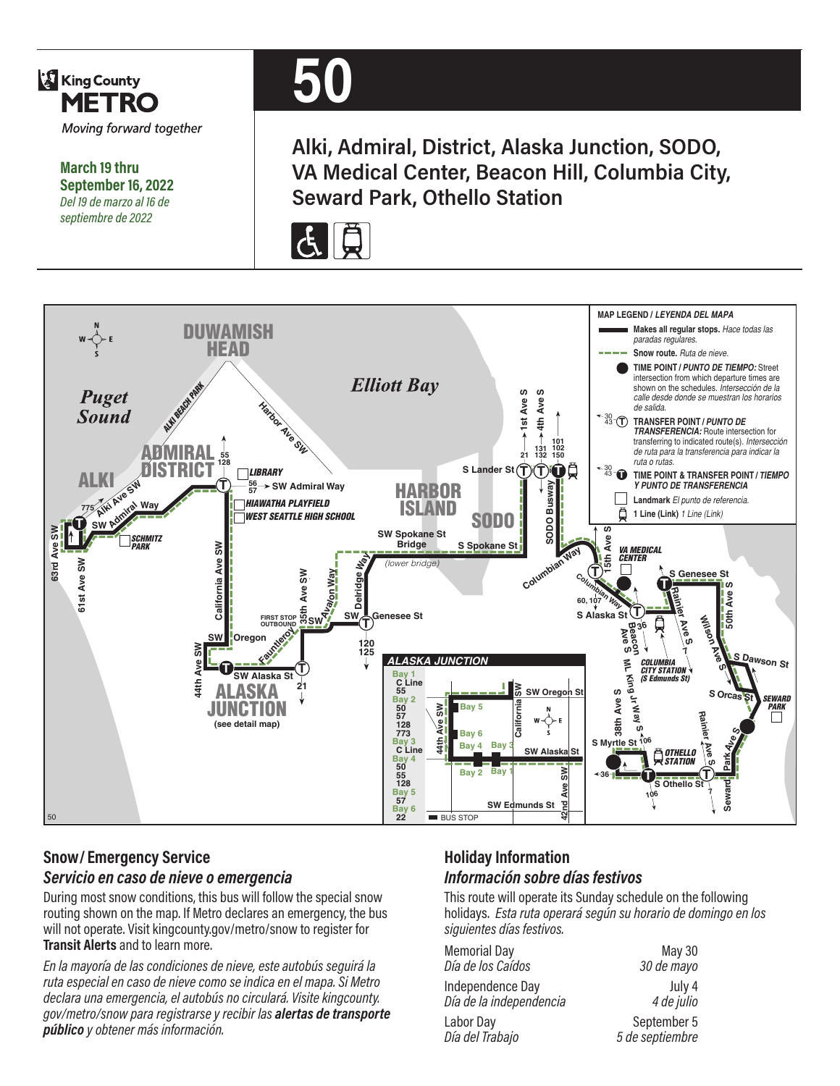

**March 19 thru September 16, 2022** *Del 19 de marzo al 16 de septiembre de 2022*

# **50**

**Alki, Admiral, District, Alaska Junction, SODO, VA Medical Center, Beacon Hill, Columbia City, Seward Park, Othello Station**





## **Snow/ Emergency Service**  *Servicio en caso de nieve o emergencia*

During most snow conditions, this bus will follow the special snow routing shown on the map. If Metro declares an emergency, the bus will not operate. Visit kingcounty.gov/metro/snow to register for **Transit Alerts** and to learn more.

*En la mayoría de las condiciones de nieve, este autobús seguirá la ruta especial en caso de nieve como se indica en el mapa. Si Metro declara una emergencia, el autobús no circulará. Visite kingcounty. gov/metro/snow para registrarse y recibir las alertas de transporte público y obtener más información.*

#### **Holiday Information** *Información sobre días festivos*

This route will operate its Sunday schedule on the following holidays. *Esta ruta operará según su horario de domingo en los siguientes días festivos.*

| <b>Memorial Day</b>     | <b>May 30</b>   |
|-------------------------|-----------------|
| Día de los Caídos       | 30 de mayo      |
| Independence Day        | July 4          |
| Día de la independencia | 4 de julio      |
| Labor Day               | September 5     |
| Día del Trabajo         | 5 de septiembre |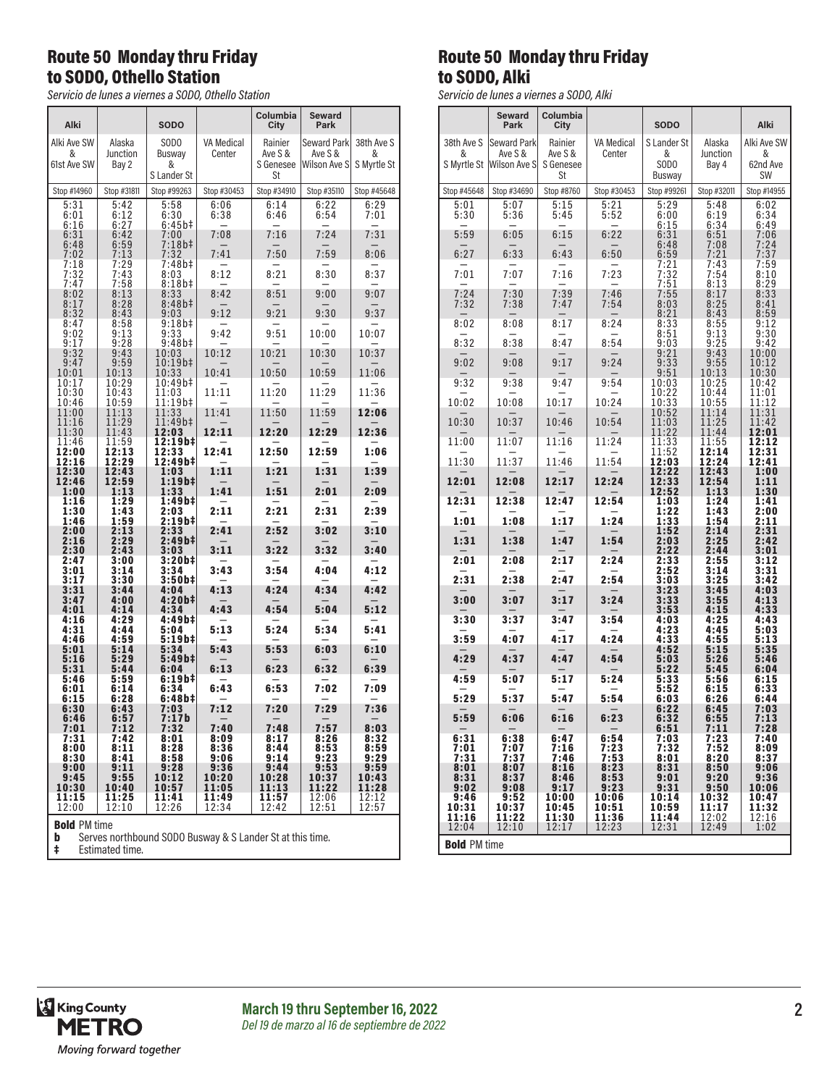#### Route 50 Monday thru Friday to SODO, Othello Station

*Servicio de lunes a viernes a SODO, Othello Station*

| Alki                                                                                                          |                                                    | <b>SODO</b>                        |                             | Columbia<br>City                      | Seward<br>Park                         |                                |  |
|---------------------------------------------------------------------------------------------------------------|----------------------------------------------------|------------------------------------|-----------------------------|---------------------------------------|----------------------------------------|--------------------------------|--|
| Alki Ave SW<br>&<br>61st Ave SW                                                                               | Alaska<br>Junction<br>Bay 2                        | SODO<br>Busway<br>&<br>S Lander St | <b>VA Medical</b><br>Center | Rainier<br>Ave S &<br>S Genesee<br>St | Seward Park<br>Ave S &<br>Wilson Ave S | 38th Ave S<br>&<br>S Myrtle St |  |
| Stop #14960                                                                                                   | Stop #31811                                        | Stop #99263                        | Stop #30453                 | Stop #34910                           | Stop #35110                            | Stop #45648                    |  |
| 5:31<br>6:01<br>6:16                                                                                          | 5:42<br>6:12<br>6:27                               | 5:58<br>6:30<br>$6:45b\ddagger$    | 6:06<br>6:38                | 6:14<br>6:46                          | 6:22<br>6:54                           | 6:29<br>7:01                   |  |
| 6:31<br>6:48                                                                                                  | 6:42<br>6:59                                       | 7:00<br>$7:18b+$                   | 7:08                        | 7:16                                  | 7:24                                   | 7:31                           |  |
| 7:02                                                                                                          | 7:13                                               | 7:32                               | 7:41                        | 7:50                                  | 7:59                                   | 8:06                           |  |
| 7:18<br>7:32<br>7:47                                                                                          | 7:29<br>7:43<br>7:58                               | 7:48b‡<br>8:03<br>8:18b‡           | 8:12                        | 8:21                                  | 8:30                                   | 8:37                           |  |
| 8:02                                                                                                          | 8:13                                               | 8:33                               | 8:42                        | 8:51                                  | 9:00                                   | 9:07                           |  |
| 8:17<br>8:32<br>8:47                                                                                          | 8:28<br>8:43<br>8:58                               | $8:48b\ddagger$<br>9:03<br>9:18b‡  | 9:12                        | 9:21                                  | 9:30                                   | 9:37                           |  |
| 9:02<br>9:17                                                                                                  | 9:13<br>9:28                                       | 9:33<br>9:48b‡                     | 9:42                        | 9:51                                  | 10:00                                  | 10:07                          |  |
| 9:32<br>9:47                                                                                                  | 9:43<br>9:59                                       | 10:03<br>10:19b#                   | 10:12                       | 10:21                                 | 10:30                                  | 10:37                          |  |
| 10:01<br>10:17                                                                                                | 10:13<br>10:29                                     | 10:33<br>10:49b‡                   | 10:41                       | 10:50                                 | 10:59                                  | 11:06                          |  |
| 10:30<br>10:46                                                                                                | 10:43<br>10:59                                     | 11:03<br>11:19b‡                   | 11:11                       | 11:20                                 | 11:29                                  | 11:36                          |  |
| 11:00                                                                                                         | 11:13                                              | 11:33                              | 11:41                       | 11:50                                 | 11:59                                  | 12:06                          |  |
| 11:16<br>11:30                                                                                                | 11:29<br>11:43                                     | 11:49b‡<br>12:03                   | 12:11                       | 12:20                                 | 12:29                                  | 12:36                          |  |
| 11:46<br>12:00<br>12:16                                                                                       | 11:59<br>12:13<br>12:29                            | 12:19b‡<br>12:33<br>12:49b‡        | 12:41                       | 12:50                                 | 12:59                                  | 1:06                           |  |
| 12:30                                                                                                         | 12:43                                              | 1:03                               | 1:11                        | 1:21                                  | 1:31                                   | 1:39                           |  |
| 12:46<br>1:00                                                                                                 | 12:59<br>1:13                                      | 1:19b‡<br>1:33                     | 1:41                        | 1:51                                  | 2:01                                   | 2:09                           |  |
| 1:16<br>1:30                                                                                                  | 1:29<br>1:43                                       | 1:49b‡<br>2:03                     | 2:11                        | 2:21                                  | 2:31                                   | 2:39                           |  |
| 1:46<br>2:00                                                                                                  | 1:59<br>2:13                                       | 2:19b‡<br>2:33                     | 2:41                        | 2:52                                  | 3:02                                   | 3:10                           |  |
| 2:16<br>2:30                                                                                                  | 2:29<br>2:43                                       | 2:49b‡<br>3:03                     | 3:11                        | 3:22                                  | 3:32                                   | 3:40                           |  |
| 2:47<br>3:01                                                                                                  | 3:00<br>3:14                                       | 3:20b‡<br>3:34                     | 3:43                        | 3:54                                  | 4:04                                   | 4:12                           |  |
| 3:17<br>$3:31$<br>$3:47$                                                                                      | 3:30<br>3:44                                       | 3:50b‡<br>4:04                     | 4:13                        | 4:24                                  | 4:34                                   | 4:42                           |  |
| 4:01                                                                                                          | 4:00<br>4:14                                       | 4:20b#<br>4:34                     | 4:43                        | 4:54                                  | 5:04                                   | 5:12                           |  |
| 4:16<br>4:31<br>4:46                                                                                          | 4:29<br>4:44<br>4:59                               | 4:49b‡<br>5:04<br>5:19b‡           | 5:13                        | 5:24                                  | 5:34                                   | 5:41                           |  |
| 5:01                                                                                                          | 5:14                                               | 5:34                               | 5:43                        | 5:53                                  | 6:03                                   | 6:10                           |  |
| 5:16<br>5:31                                                                                                  | 5:29<br>5:44                                       | 5:49b‡<br>6:04                     | 6:13                        | 6:23                                  | 6:32                                   | 6:39                           |  |
| 5:46<br>6:01<br>6:15                                                                                          | 5:59<br>6:14<br>6:28                               | 6:19b‡<br>6:34<br>6:48b‡           | 6:43                        | 6:53                                  | 7:02                                   | 7:09                           |  |
| 6:30<br>6:46                                                                                                  | 6:43<br>6:57                                       | 7:03<br>7:17b                      | 7:12                        | 7:20                                  | 7:29                                   | 7:36                           |  |
| 7:01                                                                                                          | 7:12<br>7:42                                       | 7:32<br>8:01                       | 7:40<br>8:09                | 7:48                                  | 7:57                                   | 8:03                           |  |
| 7:31<br>8:00                                                                                                  | 8:11                                               | 8:28                               | 8:36                        | 8:17<br>8:44                          | $8:26$<br>$8:53$                       | $8:32$<br>$8:59$               |  |
| 8:30<br>9:00                                                                                                  | 8:41<br>9:11                                       | 8:58<br>9:28                       | 9:06<br>9:36                | 9:14<br>9:44                          | 9:23<br>9:53                           | 9:29<br>9:59                   |  |
| 9:45<br>10:30                                                                                                 | 9:55<br>10:40                                      | 10:12<br>10:57                     | 10:20<br>11:05              | 10:28<br>11:13                        | 10:37<br>11:22                         | 10:43<br>11:28                 |  |
| 11:15                                                                                                         | 11:25                                              | 11:41                              | 11:49                       | 11:57                                 | 12:06                                  | 12:12                          |  |
| 12:00                                                                                                         | 12:57<br>12:10<br>12:26<br>12:34<br>12:42<br>12:51 |                                    |                             |                                       |                                        |                                |  |
| <b>Bold PM time</b><br>Serves northbound SODO Busway & S Lander St at this time.<br>b<br>ŧ<br>Estimated time. |                                                    |                                    |                             |                                       |                                        |                                |  |

### Route 50 Monday thru Friday to SODO, Alki

*Servicio de lunes a viernes a SODO, Alki*

|                         | <b>Seward</b><br>Park   | Columbia<br>City        |                         | <b>SODO</b>                  |                         | Alki                   |
|-------------------------|-------------------------|-------------------------|-------------------------|------------------------------|-------------------------|------------------------|
| 38th Ave S              | <b>Seward Park</b>      | Rainier                 | VA Medical              | S Lander St                  | Alaska                  | Alki Ave SW            |
| &<br>S Myrtle St        | Ave S &<br>Wilson Ave S | Ave S &<br>S Genesee    | Center                  | &<br>SOD <sub>0</sub>        | Junction<br>Bay 4       | &<br>62nd Ave          |
| Stop #45648             | Stop #34690             | St<br>Stop #8760        | Stop #30453             | <b>Busway</b><br>Stop #99261 | Stop #32011             | SW<br>Stop #14955      |
| 5:01                    | 5:07                    | $\overline{5:}15$       | 5:21                    | 5:29                         | 5:48                    | 6:02                   |
| 5:30                    | 5:36                    | 5:45                    | 5:52                    | 6:00<br>6:15                 | 6:19<br>6:34            | 6:34<br>6:49           |
| 5:59                    | 6:05                    | 6:15                    | 6:22                    | 6:31<br>6:48                 | 6:51<br>7:08            | 7:06<br>7:24           |
| 6:27                    | 6:33                    | 6:43                    | 6:50                    | 6:59<br>7:21                 | 7:21<br>7:43            | 7:37<br>7:59           |
| 7:01                    | 7:07                    | 7:16                    | 7:23                    | $7:32$<br>$7:51$             | 7:54<br>8:13            | 8:10<br>8:29           |
| 7:24<br>7:32            | 7:30<br>7:38            | 7:39<br>7:47            | 7:46<br>7:54            | 7:55<br>8:03                 | 8:17<br>8:25            | 8:33<br>8:41           |
| 8:02                    | 8:08                    | 8:17                    | 8:24                    | 8:21<br>8:33                 | 8:43<br>8:55            | 8:59<br>9:12           |
| 8:32                    | 8:38                    | 8:47                    | 8:54                    | 8:51<br>9:03                 | 9:13<br>9:25            | 9:30<br>9:42           |
| 9:02                    | 9:08                    | 9:17                    | 9:24                    | 9:21<br>9:33                 | 9:43<br>9:55            | 10:00<br>10:12         |
| 9:32                    | 9:38                    | 9:47                    | 9:54                    | 9:51<br>10:03                | 10:13<br>10:25          | 10:30<br>10:42         |
|                         |                         |                         |                         | 10:22                        | 10:44                   | 11:01                  |
| 10:02                   | 10:08                   | 10:17                   | 10:24                   | 10:33<br>10:52               | 10:55<br>11:14          | 11:12<br>11:31         |
| 10:30                   | 10:37                   | 10:46                   | 10:54                   | 11:03<br>11:22               | 11:25<br>11:44          | 11:42<br>12:01         |
| 11:00                   | 11:07                   | 11:16                   | 11:24                   | 11:33<br>11:52               | 11:55<br>12:14          | 12:12<br>12:31         |
| 11:30                   | 11:37                   | 11:46                   | 11:54                   | 12:03<br>12:22               | 12:24<br>12:43          | 12:41<br>1:00          |
| 12:01                   | 12:08                   | 12:17                   | 12:24                   | 12:33<br>12:52               | 12:54<br>1:13           | 1:11<br>1:30           |
| 12:31                   | 12:38                   | 12:47                   | 12:54                   | 1:03<br>1:22                 | 1:24<br>1:43            | 1:41<br>2:00           |
| 1:01                    | 1:08                    | 1:17                    | 1:24                    | 1:33<br>1:52                 | 1:54<br>2:14            | 2:11<br>2:31           |
| 1:31                    | 1:38                    | 1:47                    | 1:54                    | 2:03<br>2:22                 | 2:25<br>2:44            | 2:42<br>3:01           |
| 2:01                    | 2:08                    | 2:17                    | 2:24                    | 2:33<br>2:52                 | 2:55<br>3:14            | 3:12<br>3:31           |
| 2:31                    | 2:38                    | 2:47                    | 2:54                    | 3:03<br>3:23                 | 3:25<br>3:45            | 3:42<br>4:03           |
| 3:00                    | 3:07                    | 3:17                    | 3:24                    | 3:33<br>3:53                 | 3:55<br>4:15            | 4:13<br>4:33           |
| 3:30                    | 3:37                    | 3:47                    | 3:54                    | 4:03<br>4:23                 | 4:25<br>4:45            | 4:43<br>5:03           |
| 3:59                    | 4:07                    | 4:17                    | 4:24                    | 4:33<br>4:52                 | 4:55<br>5:15            | 5:13<br>5:35           |
| 4:29                    | 4:37                    | 4:47                    | 4:54                    | 5:03<br>5:22                 | 5:26<br>5:45            | 5:46<br>6:04           |
| 4:59                    | 5:07                    | 5:17                    | 5:24                    | 5:33<br>5:52                 | 5:56<br>6:15            | 6:15<br>6:33           |
| 5:29                    | 5:37                    | 5:47                    | 5:54                    | 6:03<br>6:22                 | 6:26<br>6:45            | 6:44<br>7:03           |
| 5:59                    | 6:06                    | 6:16                    | 6:23                    | 6:32<br>6:51                 | 6:55<br>7:11            | 7:13<br>7:28           |
| 6:31<br>7:01            | 6:38<br>7:07            | 6:47<br>7:16            | 6:54<br>7:23            | 7:03<br>7:32                 | 7:23<br>7:52            | 7:40<br>8:09           |
| 7:31<br>8:01            | 7:37<br>8:07            | 7:46<br>8:16            | 7:53<br>8:23            | 8:01<br>8:31                 | 8:20<br>8:50            | 8:37<br>9:06           |
| 8:31<br>9:02            | 8:37<br>9:08            | 8:46<br>9:17            | 8:53<br>9:23            | 9:01<br>9:31                 | 9:20<br>9:50            | 9:36<br>10:06          |
| 9:46                    | 9:52                    | 10:00                   | 10:06                   | 10:14                        | 10:32                   | 10:47                  |
| 10:31<br>11:16<br>12:04 | 10:37<br>11:22<br>12:10 | 10:45<br>11:30<br>12:17 | 10:51<br>11:36<br>12:23 | 10:59<br>11:44<br>12:31      | 11:17<br>12:02<br>12:49 | 11:32<br>12:16<br>1:02 |
| <b>Bold PM time</b>     |                         |                         |                         |                              |                         |                        |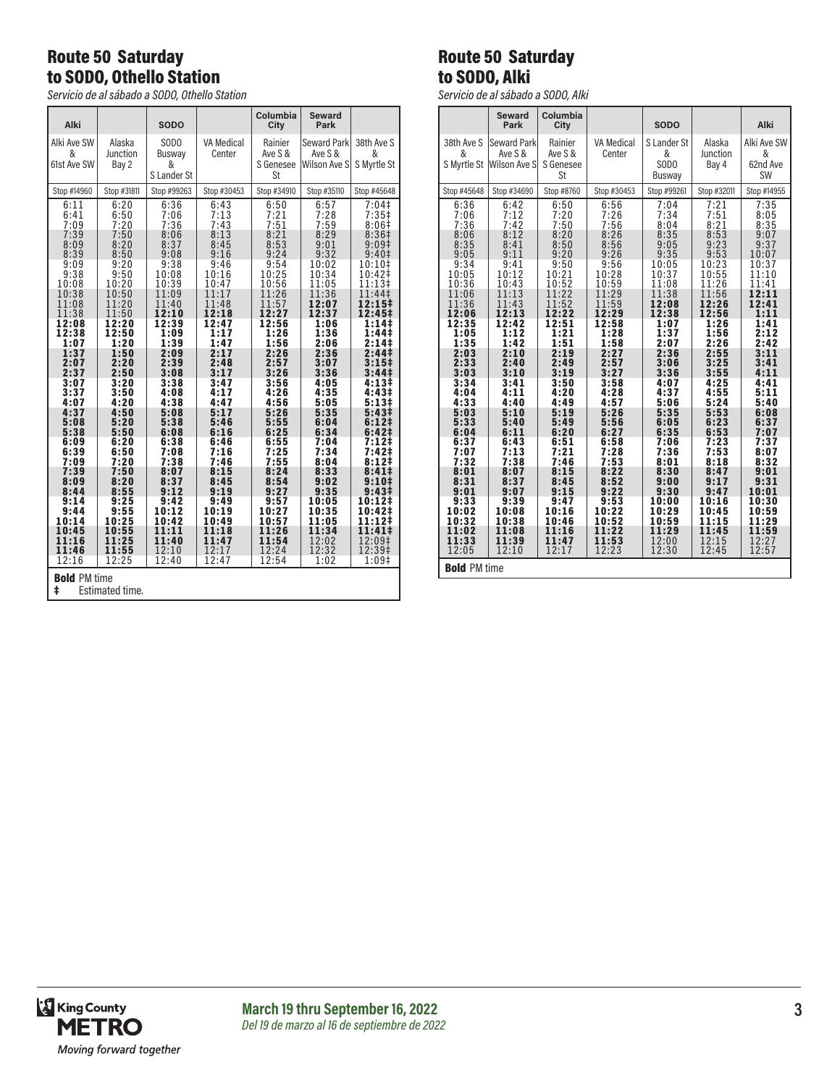### Route 50 Saturday to SODO, Othello Station

*Servicio de al sábado a SODO, Othello Station*

| Alki                                                                                                                                                                                                                                                               |                                                                                                                                                                                                                                                                    | <b>SODO</b>                                                                                                                                                                                                                                                         |                                                                                                                                                                                                                                                                     | Columbia<br>City                                                                                                                                                                                                                                                    | <b>Seward</b><br>Park                                                                                                                                                                                                                                                |                                                                                                                                                                                                                                                                                                                                                                                                                                        |
|--------------------------------------------------------------------------------------------------------------------------------------------------------------------------------------------------------------------------------------------------------------------|--------------------------------------------------------------------------------------------------------------------------------------------------------------------------------------------------------------------------------------------------------------------|---------------------------------------------------------------------------------------------------------------------------------------------------------------------------------------------------------------------------------------------------------------------|---------------------------------------------------------------------------------------------------------------------------------------------------------------------------------------------------------------------------------------------------------------------|---------------------------------------------------------------------------------------------------------------------------------------------------------------------------------------------------------------------------------------------------------------------|----------------------------------------------------------------------------------------------------------------------------------------------------------------------------------------------------------------------------------------------------------------------|----------------------------------------------------------------------------------------------------------------------------------------------------------------------------------------------------------------------------------------------------------------------------------------------------------------------------------------------------------------------------------------------------------------------------------------|
| Alki Ave SW<br>&<br>61st Ave SW                                                                                                                                                                                                                                    | Alaska<br>Junction<br>Bay 2                                                                                                                                                                                                                                        | SOD <sub>0</sub><br>Busway<br>&<br>S Lander St                                                                                                                                                                                                                      | <b>VA Medical</b><br>Center                                                                                                                                                                                                                                         | Rainier<br>Ave S &<br>S Genesee<br>St                                                                                                                                                                                                                               | Seward Park<br>Ave S &<br>Wilson Ave S                                                                                                                                                                                                                               | 38th Ave S<br>&<br>S Myrtle St                                                                                                                                                                                                                                                                                                                                                                                                         |
| Stop #14960                                                                                                                                                                                                                                                        | Stop #31811                                                                                                                                                                                                                                                        | Stop #99263                                                                                                                                                                                                                                                         | Stop #30453                                                                                                                                                                                                                                                         | Stop #34910                                                                                                                                                                                                                                                         | Stop #35110                                                                                                                                                                                                                                                          | Stop #45648                                                                                                                                                                                                                                                                                                                                                                                                                            |
| 6:11<br>6:41<br>7:09<br>7:39<br>8:09<br>8:39<br>9:09<br>9:38<br>10:08<br>10:38<br>11:08<br>11:38<br>12:08<br>12:38<br>1:07<br>1:37<br>2:07<br>2:37<br>3:07<br>3:37<br>4:07<br>4:37<br>5:08<br>5:38<br>6:09<br>6:39<br>7:09<br>7:39<br>8:09<br>8:44<br>9:14<br>9:44 | 6:20<br>6:50<br>7:20<br>7:50<br>8:20<br>8:50<br>9:20<br>9:50<br>10:20<br>10:50<br>11:20<br>11:50<br>12:20<br>12:50<br>1:20<br>1:50<br>2:20<br>2:50<br>3:20<br>3:50<br>4:20<br>4:50<br>5:20<br>5:50<br>6:20<br>6:50<br>7:20<br>7:50<br>8:20<br>8:55<br>9:25<br>9:55 | 6:36<br>7:06<br>7:36<br>8:06<br>8:37<br>9:08<br>9:38<br>10:08<br>10:39<br>11:09<br>11:40<br>12:10<br>12:39<br>1:09<br>1:39<br>2:09<br>2:39<br>3:08<br>3:38<br>4:08<br>4:38<br>5:08<br>5:38<br>6:08<br>6:38<br>7:08<br>7:38<br>8:07<br>8:37<br>9:12<br>9:42<br>10:12 | 6:43<br>7:13<br>7:43<br>8:13<br>8:45<br>9:16<br>9:46<br>10:16<br>10:47<br>11:17<br>11:48<br>12:18<br>12:47<br>1:17<br>1:47<br>2:17<br>2:48<br>3:17<br>3:47<br>4:17<br>4:47<br>5:17<br>5:46<br>6:16<br>6:46<br>7:16<br>7:46<br>8:15<br>8:45<br>9:19<br>9:49<br>10:19 | 6:50<br>7:21<br>7:51<br>8:21<br>8:53<br>9:24<br>9:54<br>10:25<br>10:56<br>11:26<br>11:57<br>12:27<br>12:56<br>1:26<br>1:56<br>2:26<br>2:57<br>3:26<br>3:56<br>4:26<br>4:56<br>5:26<br>5:55<br>6:25<br>6:55<br>7:25<br>7:55<br>8:24<br>8:54<br>9:27<br>9:57<br>10:27 | 6:57<br>7:28<br>7:59<br>8:29<br>9:01<br>9:32<br>10:02<br>10:34<br>11:05<br>11:36<br>12:07<br>12:37<br>1:06<br>1:36<br>2:06<br>2:36<br>3:07<br>3:36<br>4:05<br>4:35<br>5:05<br>5:35<br>6:04<br>6:34<br>7:04<br>7:34<br>8:04<br>8:33<br>9:02<br>9:35<br>10:05<br>10:35 | 7:04<br>$7:35+$<br>8:06#<br>8:36 <sup>‡</sup><br>9:09 <sup>‡</sup><br>9:40 <sup>‡</sup><br>10:10‡<br>10:42‡<br>11:13‡<br>11:44‡<br>12:15‡<br>12:45‡<br>1:14‡<br>1:44‡<br>2:14‡<br>2:44‡<br>$3:15\ddagger$<br>3:44 <sup>‡</sup><br>4:13#<br>4:43‡<br>5:13#<br>5:43 <sup>‡</sup><br>6:12 <sup>‡</sup><br>6:42 <sup>‡</sup><br>7:12‡<br>7:42 <sup>‡</sup><br>8:12‡<br>8:41#<br>9:10 <sup>‡</sup><br>9:43 <sup>‡</sup><br>10:12‡<br>10:42‡ |
| 10:14<br>10:45<br>11:16<br>11:46<br>12:16                                                                                                                                                                                                                          | 10:25<br>10:55<br>11:25<br>11:55<br>12:25                                                                                                                                                                                                                          | 10:42<br>11:11<br>11:40<br>12:10<br>12:40                                                                                                                                                                                                                           | 10:49<br>11:18<br>11:47<br>12:17<br>12:47                                                                                                                                                                                                                           | 10:57<br>11:26<br>11:54<br>12:24<br>12:54                                                                                                                                                                                                                           | 11:05<br>11:34<br>12:02<br>12:32<br>1:02                                                                                                                                                                                                                             | 11:12‡<br>11:41‡<br>12:09‡<br>12:39‡<br>1:09‡                                                                                                                                                                                                                                                                                                                                                                                          |
| <b>Bold PM time</b><br>ŧ<br>Estimated time                                                                                                                                                                                                                         |                                                                                                                                                                                                                                                                    |                                                                                                                                                                                                                                                                     |                                                                                                                                                                                                                                                                     |                                                                                                                                                                                                                                                                     |                                                                                                                                                                                                                                                                      |                                                                                                                                                                                                                                                                                                                                                                                                                                        |

### Route 50 Saturday to SODO, Alki

*Servicio de al sábado a SODO, Alki*

|                     | <b>Seward</b>                       | Columbia             |                |                       |                   |                |
|---------------------|-------------------------------------|----------------------|----------------|-----------------------|-------------------|----------------|
|                     | Park                                | City                 |                | <b>SODO</b>           |                   | Alki           |
| 38th Ave S          | Seward Park                         | Rainier              | VA Medical     | S Lander St           | Alaska            | Alki Ave SW    |
| &                   | Ave S &<br>S Myrtle St Wilson Ave S | Ave S &<br>S Genesee | Center         | &<br>SOD <sub>0</sub> | Junction<br>Bay 4 | &<br>62nd Ave  |
|                     |                                     | St                   |                | Busway                |                   | <b>SW</b>      |
| Stop #45648         | Stop #34690                         | Stop #8760           | Stop #30453    | Stop #99261           | Stop #32011       | Stop #14955    |
| 6:36                | 6:42                                | 6:50                 | 6:56           | 7:04                  | 7:21              | 7:35           |
| 7:06<br>7:36        | 7:12<br>7:42                        | 7:20<br>7:50         | 7:26<br>7:56   | 7:34<br>8:04          | 7:51<br>8:21      | 8:05<br>8:35   |
| 8:06                | 8:12                                | 8:20                 | 8:26           | 8:35                  | 8:53              | 9:07           |
| 8:35                | 8:41                                | 8:50                 | 8:56           | 9:05                  | 9:23              | 9:37           |
| 9:05                | 9:11                                | 9:20                 | 9:26           | 9:35                  | 9:53<br>10:23     | 10:07          |
| 9:34<br>10:05       | 9:41<br>10:12                       | 9:50<br>10:21        | 9:56<br>10:28  | 10:05<br>10:37        | 10:55             | 10:37<br>11:10 |
| 10:36               | 10:43                               | 10:52                | 10:59          | 11:08                 | 11:26             | 11:41          |
| 11:06               | 11:13                               | 11:22                | 11:29          | 11:38                 | 11:56             | 12:11          |
| 11:36               | 11:43                               | 11:52                | 11:59          | 12:08                 | 12:26             | 12:41          |
| 12:06<br>12:35      | 12:13<br>12:42                      | 12:22<br>12:51       | 12:29<br>12:58 | 12:38<br>1:07         | 12:56<br>1:26     | 1:11<br>1:41   |
| 1:05                | 1:12                                | 1:21                 | 1:28           | 1:37                  | 1:56              | 2:12           |
| 1:35                | 1:42                                | 1:51                 | 1:58           | 2:07                  | 2:26              | 2:42           |
| 2:03<br>2:33        | 2:10                                | 2:19                 | 2:27           | 2:36                  | 2:55              | 3:11           |
| 3:03                | 2:40<br>3:10                        | 2:49<br>3:19         | 2:57<br>3:27   | 3:06<br>3:36          | 3:25<br>3:55      | 3:41<br>4:11   |
| 3:34                | 3:41                                | 3:50                 | 3:58           | 4:07                  | 4:25              | 4:41           |
| 4:04<br>4:33        | 4:11<br>4:40                        | 4:20<br>4:49         | 4:28<br>4:57   | 4:37<br>5:06          | 4:55<br>5:24      | 5:11<br>5:40   |
| 5:03                | 5:10                                | 5:19                 | 5:26           | 5:35                  | 5:53              | 6:08           |
| 5:33                | 5:40                                | 5:49                 | 5:56           | 6:05                  | 6:23              | 6:37           |
| 6:04<br>6:37        | 6:11<br>6:43                        | 6:20<br>6:51         | 6:27<br>6:58   | 6:35<br>7:06          | 6:53<br>7:23      | 7:07<br>7:37   |
| 7:07                | 7:13                                | 7:21                 | 7:28           | 7:36                  | 7:53              | 8:07           |
| 7:32                | 7:38                                | 7:46                 | 7:53           | 8:01                  | 8:18              | 8:32           |
| 8:01                | 8:07                                | 8:15                 | 8:22           | 8:30                  | 8:47              | 9:01           |
| 8:31<br>9:01        | 8:37<br>9:07                        | 8:45<br>9:15         | 8:52<br>9:22   | 9:00<br>9:30          | 9:17<br>9:47      | 9:31<br>10:01  |
| 9:33                | 9:39                                | 9:47                 | 9:53           | 10:00                 | 10:16             | 10:30          |
| 10:02               | 10:08                               | 10:16                | 10:22          | 10:29                 | 10:45             | 10:59          |
| 10:32<br>11:02      | 10:38<br>11:08                      | 10:46<br>11:16       | 10:52<br>11:22 | 10:59<br>11:29        | 11:15<br>11:45    | 11:29<br>11:59 |
| 11:33               | 11:39                               | 11:47                | 11:53          | 12:00                 | 12:15             | 12:27          |
| 12:05               | 12:10                               | 12:17                | 12:23          | 12:30                 | 12:45             | 12:57          |
| <b>Bold PM time</b> |                                     |                      |                |                       |                   |                |

Estimated time.